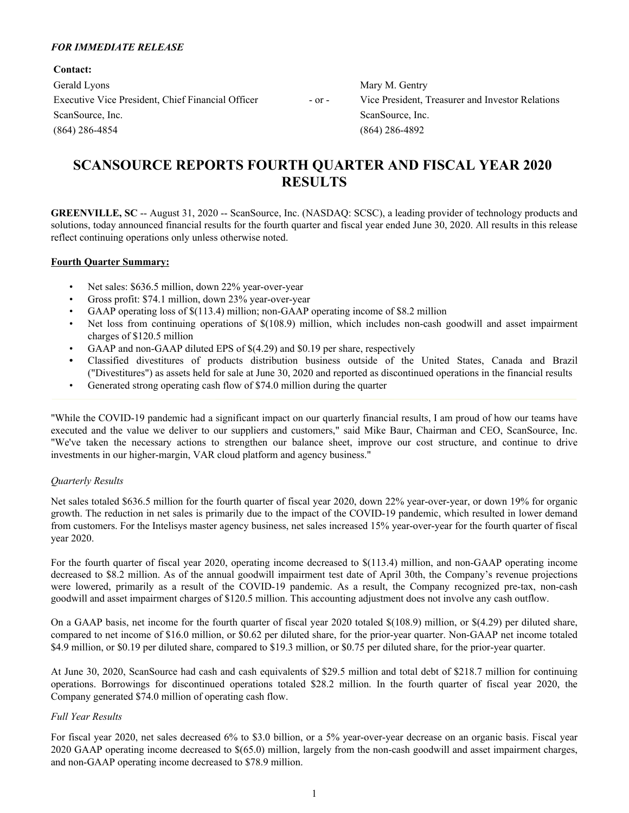### *FOR IMMEDIATE RELEASE*

**Contact:** Gerald Lyons **Mary M. Gentry** Mary M. Gentry Executive Vice President, Chief Financial Officer - or - Vice President, Treasurer and Investor Relations ScanSource, Inc. ScanSource, Inc. ScanSource, Inc. (864) 286-4854 (864) 286-4892

# **SCANSOURCE REPORTS FOURTH QUARTER AND FISCAL YEAR 2020 RESULTS**

**GREENVILLE, SC** -- August 31, 2020 -- ScanSource, Inc. (NASDAQ: SCSC), a leading provider of technology products and solutions, today announced financial results for the fourth quarter and fiscal year ended June 30, 2020. All results in this release reflect continuing operations only unless otherwise noted.

#### **Fourth Quarter Summary:**

- Net sales: \$636.5 million, down 22% year-over-year
- Gross profit: \$74.1 million, down 23% year-over-year
- GAAP operating loss of \$(113.4) million; non-GAAP operating income of \$8.2 million
- Net loss from continuing operations of \$(108.9) million, which includes non-cash goodwill and asset impairment charges of \$120.5 million
- GAAP and non-GAAP diluted EPS of \$(4.29) and \$0.19 per share, respectively
- **•** Classified divestitures of products distribution business outside of the United States, Canada and Brazil ("Divestitures") as assets held for sale at June 30, 2020 and reported as discontinued operations in the financial results
- Generated strong operating cash flow of \$74.0 million during the quarter

"While the COVID-19 pandemic had a significant impact on our quarterly financial results, I am proud of how our teams have executed and the value we deliver to our suppliers and customers," said Mike Baur, Chairman and CEO, ScanSource, Inc. "We've taken the necessary actions to strengthen our balance sheet, improve our cost structure, and continue to drive investments in our higher-margin, VAR cloud platform and agency business."

#### *Quarterly Results*

Net sales totaled \$636.5 million for the fourth quarter of fiscal year 2020, down 22% year-over-year, or down 19% for organic growth. The reduction in net sales is primarily due to the impact of the COVID-19 pandemic, which resulted in lower demand from customers. For the Intelisys master agency business, net sales increased 15% year-over-year for the fourth quarter of fiscal year 2020.

For the fourth quarter of fiscal year 2020, operating income decreased to \$(113.4) million, and non-GAAP operating income decreased to \$8.2 million. As of the annual goodwill impairment test date of April 30th, the Company's revenue projections were lowered, primarily as a result of the COVID-19 pandemic. As a result, the Company recognized pre-tax, non-cash goodwill and asset impairment charges of \$120.5 million. This accounting adjustment does not involve any cash outflow.

On a GAAP basis, net income for the fourth quarter of fiscal year 2020 totaled \$(108.9) million, or \$(4.29) per diluted share, compared to net income of \$16.0 million, or \$0.62 per diluted share, for the prior-year quarter. Non-GAAP net income totaled \$4.9 million, or \$0.19 per diluted share, compared to \$19.3 million, or \$0.75 per diluted share, for the prior-year quarter.

At June 30, 2020, ScanSource had cash and cash equivalents of \$29.5 million and total debt of \$218.7 million for continuing operations. Borrowings for discontinued operations totaled \$28.2 million. In the fourth quarter of fiscal year 2020, the Company generated \$74.0 million of operating cash flow.

### *Full Year Results*

For fiscal year 2020, net sales decreased 6% to \$3.0 billion, or a 5% year-over-year decrease on an organic basis. Fiscal year 2020 GAAP operating income decreased to \$(65.0) million, largely from the non-cash goodwill and asset impairment charges, and non-GAAP operating income decreased to \$78.9 million.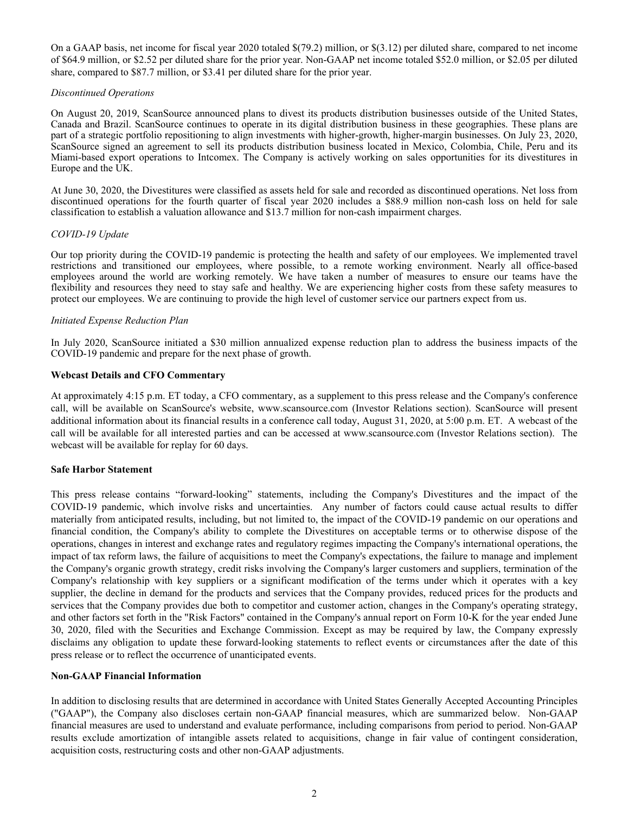On a GAAP basis, net income for fiscal year 2020 totaled \$(79.2) million, or \$(3.12) per diluted share, compared to net income of \$64.9 million, or \$2.52 per diluted share for the prior year. Non-GAAP net income totaled \$52.0 million, or \$2.05 per diluted share, compared to \$87.7 million, or \$3.41 per diluted share for the prior year.

### *Discontinued Operations*

On August 20, 2019, ScanSource announced plans to divest its products distribution businesses outside of the United States, Canada and Brazil. ScanSource continues to operate in its digital distribution business in these geographies. These plans are part of a strategic portfolio repositioning to align investments with higher-growth, higher-margin businesses. On July 23, 2020, ScanSource signed an agreement to sell its products distribution business located in Mexico, Colombia, Chile, Peru and its Miami-based export operations to Intcomex. The Company is actively working on sales opportunities for its divestitures in Europe and the UK.

At June 30, 2020, the Divestitures were classified as assets held for sale and recorded as discontinued operations. Net loss from discontinued operations for the fourth quarter of fiscal year 2020 includes a \$88.9 million non-cash loss on held for sale classification to establish a valuation allowance and \$13.7 million for non-cash impairment charges.

### *COVID-19 Update*

Our top priority during the COVID-19 pandemic is protecting the health and safety of our employees. We implemented travel restrictions and transitioned our employees, where possible, to a remote working environment. Nearly all office-based employees around the world are working remotely. We have taken a number of measures to ensure our teams have the flexibility and resources they need to stay safe and healthy. We are experiencing higher costs from these safety measures to protect our employees. We are continuing to provide the high level of customer service our partners expect from us.

### *Initiated Expense Reduction Plan*

In July 2020, ScanSource initiated a \$30 million annualized expense reduction plan to address the business impacts of the COVID-19 pandemic and prepare for the next phase of growth.

### **Webcast Details and CFO Commentary**

At approximately 4:15 p.m. ET today, a CFO commentary, as a supplement to this press release and the Company's conference call, will be available on ScanSource's website, www.scansource.com (Investor Relations section). ScanSource will present additional information about its financial results in a conference call today, August 31, 2020, at 5:00 p.m. ET. A webcast of the call will be available for all interested parties and can be accessed at www.scansource.com (Investor Relations section). The webcast will be available for replay for 60 days.

#### **Safe Harbor Statement**

This press release contains "forward-looking" statements, including the Company's Divestitures and the impact of the COVID-19 pandemic, which involve risks and uncertainties. Any number of factors could cause actual results to differ materially from anticipated results, including, but not limited to, the impact of the COVID-19 pandemic on our operations and financial condition, the Company's ability to complete the Divestitures on acceptable terms or to otherwise dispose of the operations, changes in interest and exchange rates and regulatory regimes impacting the Company's international operations, the impact of tax reform laws, the failure of acquisitions to meet the Company's expectations, the failure to manage and implement the Company's organic growth strategy, credit risks involving the Company's larger customers and suppliers, termination of the Company's relationship with key suppliers or a significant modification of the terms under which it operates with a key supplier, the decline in demand for the products and services that the Company provides, reduced prices for the products and services that the Company provides due both to competitor and customer action, changes in the Company's operating strategy, and other factors set forth in the "Risk Factors" contained in the Company's annual report on Form 10-K for the year ended June 30, 2020, filed with the Securities and Exchange Commission. Except as may be required by law, the Company expressly disclaims any obligation to update these forward-looking statements to reflect events or circumstances after the date of this press release or to reflect the occurrence of unanticipated events.

### **Non-GAAP Financial Information**

In addition to disclosing results that are determined in accordance with United States Generally Accepted Accounting Principles ("GAAP"), the Company also discloses certain non-GAAP financial measures, which are summarized below. Non-GAAP financial measures are used to understand and evaluate performance, including comparisons from period to period. Non-GAAP results exclude amortization of intangible assets related to acquisitions, change in fair value of contingent consideration, acquisition costs, restructuring costs and other non-GAAP adjustments.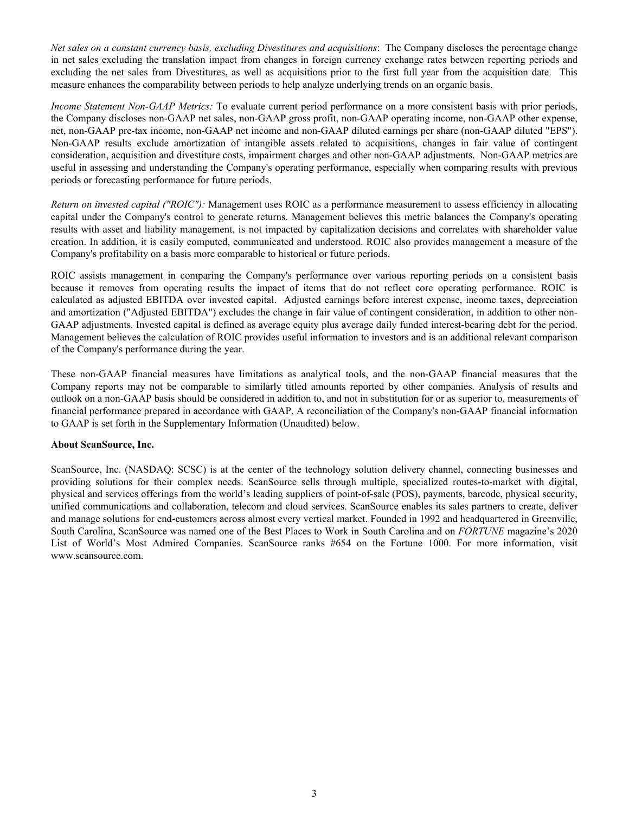*Net sales on a constant currency basis, excluding Divestitures and acquisitions*: The Company discloses the percentage change in net sales excluding the translation impact from changes in foreign currency exchange rates between reporting periods and excluding the net sales from Divestitures, as well as acquisitions prior to the first full year from the acquisition date. This measure enhances the comparability between periods to help analyze underlying trends on an organic basis.

*Income Statement Non-GAAP Metrics:* To evaluate current period performance on a more consistent basis with prior periods, the Company discloses non-GAAP net sales, non-GAAP gross profit, non-GAAP operating income, non-GAAP other expense, net, non-GAAP pre-tax income, non-GAAP net income and non-GAAP diluted earnings per share (non-GAAP diluted "EPS"). Non-GAAP results exclude amortization of intangible assets related to acquisitions, changes in fair value of contingent consideration, acquisition and divestiture costs, impairment charges and other non-GAAP adjustments. Non-GAAP metrics are useful in assessing and understanding the Company's operating performance, especially when comparing results with previous periods or forecasting performance for future periods.

*Return on invested capital ("ROIC"):* Management uses ROIC as a performance measurement to assess efficiency in allocating capital under the Company's control to generate returns. Management believes this metric balances the Company's operating results with asset and liability management, is not impacted by capitalization decisions and correlates with shareholder value creation. In addition, it is easily computed, communicated and understood. ROIC also provides management a measure of the Company's profitability on a basis more comparable to historical or future periods.

ROIC assists management in comparing the Company's performance over various reporting periods on a consistent basis because it removes from operating results the impact of items that do not reflect core operating performance. ROIC is calculated as adjusted EBITDA over invested capital. Adjusted earnings before interest expense, income taxes, depreciation and amortization ("Adjusted EBITDA") excludes the change in fair value of contingent consideration, in addition to other non-GAAP adjustments. Invested capital is defined as average equity plus average daily funded interest-bearing debt for the period. Management believes the calculation of ROIC provides useful information to investors and is an additional relevant comparison of the Company's performance during the year.

These non-GAAP financial measures have limitations as analytical tools, and the non-GAAP financial measures that the Company reports may not be comparable to similarly titled amounts reported by other companies. Analysis of results and outlook on a non-GAAP basis should be considered in addition to, and not in substitution for or as superior to, measurements of financial performance prepared in accordance with GAAP. A reconciliation of the Company's non-GAAP financial information to GAAP is set forth in the Supplementary Information (Unaudited) below.

### **About ScanSource, Inc.**

ScanSource, Inc. (NASDAQ: SCSC) is at the center of the technology solution delivery channel, connecting businesses and providing solutions for their complex needs. ScanSource sells through multiple, specialized routes-to-market with digital, physical and services offerings from the world's leading suppliers of point-of-sale (POS), payments, barcode, physical security, unified communications and collaboration, telecom and cloud services. ScanSource enables its sales partners to create, deliver and manage solutions for end-customers across almost every vertical market. Founded in 1992 and headquartered in Greenville, South Carolina, ScanSource was named one of the Best Places to Work in South Carolina and on *FORTUNE* magazine's 2020 List of World's Most Admired Companies. ScanSource ranks #654 on the Fortune 1000. For more information, visit www.scansource.com.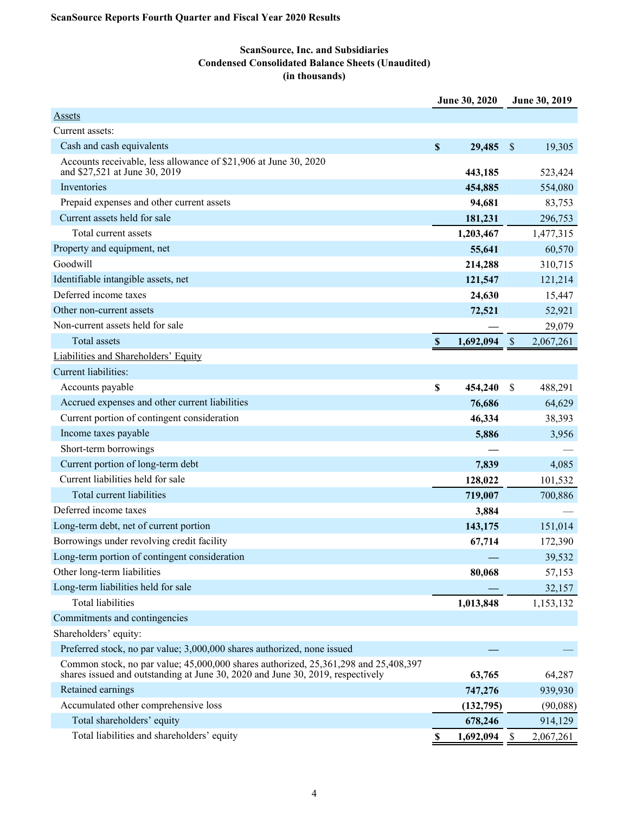## **ScanSource, Inc. and Subsidiaries Condensed Consolidated Balance Sheets (Unaudited) (in thousands)**

|                                                                                                                                                                       |                           | June 30, 2020 | June 30, 2019   |
|-----------------------------------------------------------------------------------------------------------------------------------------------------------------------|---------------------------|---------------|-----------------|
| <b>Assets</b>                                                                                                                                                         |                           |               |                 |
| Current assets:                                                                                                                                                       |                           |               |                 |
| Cash and cash equivalents                                                                                                                                             | \$                        | 29,485        | \$<br>19,305    |
| Accounts receivable, less allowance of \$21,906 at June 30, 2020<br>and \$27,521 at June 30, 2019                                                                     |                           | 443,185       | 523,424         |
| Inventories                                                                                                                                                           |                           | 454,885       | 554,080         |
| Prepaid expenses and other current assets                                                                                                                             |                           | 94,681        | 83,753          |
| Current assets held for sale                                                                                                                                          |                           | 181,231       | 296,753         |
| Total current assets                                                                                                                                                  |                           | 1,203,467     | 1,477,315       |
| Property and equipment, net                                                                                                                                           |                           | 55,641        | 60,570          |
| Goodwill                                                                                                                                                              |                           | 214,288       | 310,715         |
| Identifiable intangible assets, net                                                                                                                                   |                           | 121,547       | 121,214         |
| Deferred income taxes                                                                                                                                                 |                           | 24,630        | 15,447          |
| Other non-current assets                                                                                                                                              |                           | 72,521        | 52,921          |
| Non-current assets held for sale                                                                                                                                      |                           |               | 29,079          |
| <b>Total assets</b>                                                                                                                                                   | $\boldsymbol{\mathsf{s}}$ | 1,692,094     | \$<br>2,067,261 |
| Liabilities and Shareholders' Equity                                                                                                                                  |                           |               |                 |
| Current liabilities:                                                                                                                                                  |                           |               |                 |
| Accounts payable                                                                                                                                                      | \$                        | 454,240       | \$<br>488,291   |
| Accrued expenses and other current liabilities                                                                                                                        |                           | 76,686        | 64,629          |
| Current portion of contingent consideration                                                                                                                           |                           | 46,334        | 38,393          |
| Income taxes payable                                                                                                                                                  |                           | 5,886         | 3,956           |
| Short-term borrowings                                                                                                                                                 |                           |               |                 |
| Current portion of long-term debt                                                                                                                                     |                           | 7,839         | 4,085           |
| Current liabilities held for sale                                                                                                                                     |                           | 128,022       | 101,532         |
| Total current liabilities                                                                                                                                             |                           | 719,007       | 700,886         |
| Deferred income taxes                                                                                                                                                 |                           | 3,884         |                 |
| Long-term debt, net of current portion                                                                                                                                |                           | 143,175       | 151,014         |
| Borrowings under revolving credit facility                                                                                                                            |                           | 67,714        | 172,390         |
| Long-term portion of contingent consideration                                                                                                                         |                           |               | 39,532          |
| Other long-term liabilities                                                                                                                                           |                           | 80,068        | 57,153          |
| Long-term liabilities held for sale                                                                                                                                   |                           |               | 32,157          |
| <b>Total liabilities</b>                                                                                                                                              |                           | 1,013,848     | 1,153,132       |
| Commitments and contingencies                                                                                                                                         |                           |               |                 |
| Shareholders' equity:                                                                                                                                                 |                           |               |                 |
| Preferred stock, no par value; 3,000,000 shares authorized, none issued                                                                                               |                           |               |                 |
| Common stock, no par value; 45,000,000 shares authorized, 25,361,298 and 25,408,397<br>shares issued and outstanding at June 30, 2020 and June 30, 2019, respectively |                           | 63,765        | 64,287          |
| Retained earnings                                                                                                                                                     |                           | 747,276       | 939,930         |
| Accumulated other comprehensive loss                                                                                                                                  |                           | (132,795)     | (90,088)        |
| Total shareholders' equity                                                                                                                                            |                           | 678,246       | 914,129         |
| Total liabilities and shareholders' equity                                                                                                                            | \$                        | 1,692,094     | \$<br>2,067,261 |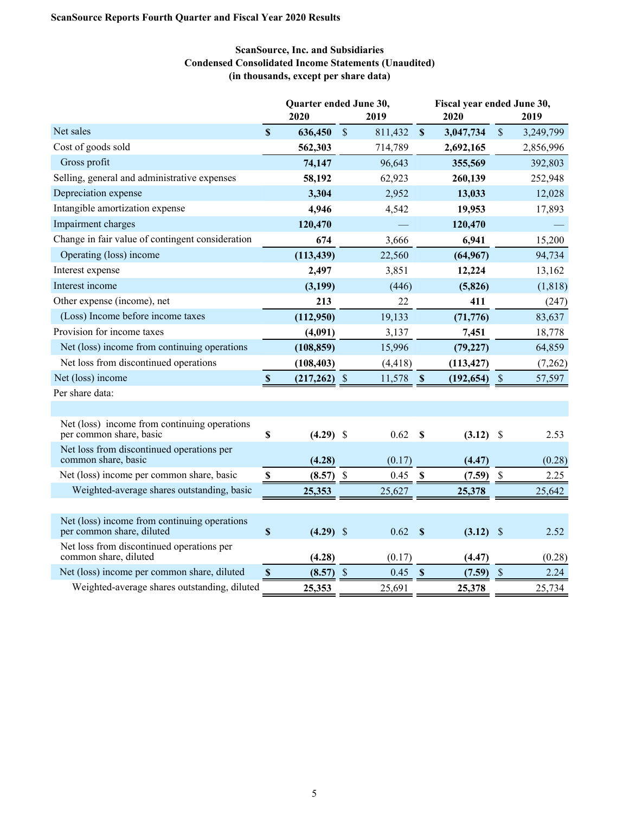## **ScanSource, Inc. and Subsidiaries Condensed Consolidated Income Statements (Unaudited) (in thousands, except per share data)**

|                                                                           |                           | Quarter ended June 30, |               |          |                           |             | Fiscal year ended June 30, |           |  |  |
|---------------------------------------------------------------------------|---------------------------|------------------------|---------------|----------|---------------------------|-------------|----------------------------|-----------|--|--|
|                                                                           |                           | 2020                   |               | 2019     |                           | 2020        |                            | 2019      |  |  |
| Net sales                                                                 | $\mathbf S$               | 636,450                | $\mathsf{\$}$ | 811,432  | $\boldsymbol{\mathsf{S}}$ | 3,047,734   | $\boldsymbol{\mathsf{S}}$  | 3,249,799 |  |  |
| Cost of goods sold                                                        |                           | 562,303                |               | 714,789  |                           | 2,692,165   |                            | 2,856,996 |  |  |
| Gross profit                                                              |                           | 74,147                 |               | 96,643   |                           | 355,569     |                            | 392,803   |  |  |
| Selling, general and administrative expenses                              |                           | 58,192                 |               | 62,923   |                           | 260,139     |                            | 252,948   |  |  |
| Depreciation expense                                                      |                           | 3,304                  |               | 2,952    |                           | 13,033      |                            | 12,028    |  |  |
| Intangible amortization expense                                           |                           | 4,946                  |               | 4,542    |                           | 19,953      |                            | 17,893    |  |  |
| Impairment charges                                                        |                           | 120,470                |               |          |                           | 120,470     |                            |           |  |  |
| Change in fair value of contingent consideration                          |                           | 674                    |               | 3,666    |                           | 6,941       |                            | 15,200    |  |  |
| Operating (loss) income                                                   |                           | (113, 439)             |               | 22,560   |                           | (64, 967)   |                            | 94,734    |  |  |
| Interest expense                                                          |                           | 2,497                  |               | 3,851    |                           | 12,224      |                            | 13,162    |  |  |
| Interest income                                                           |                           | (3,199)                |               | (446)    |                           | (5, 826)    |                            | (1, 818)  |  |  |
| Other expense (income), net                                               |                           | 213                    |               | 22       |                           | 411         |                            | (247)     |  |  |
| (Loss) Income before income taxes                                         |                           | (112,950)              |               | 19,133   |                           | (71, 776)   |                            | 83,637    |  |  |
| Provision for income taxes                                                |                           | (4,091)                |               | 3,137    |                           | 7,451       |                            | 18,778    |  |  |
| Net (loss) income from continuing operations                              |                           | (108, 859)             |               | 15,996   |                           | (79, 227)   |                            | 64,859    |  |  |
| Net loss from discontinued operations                                     |                           | (108, 403)             |               | (4, 418) |                           | (113, 427)  |                            | (7,262)   |  |  |
| Net (loss) income                                                         | $\mathbf{\$}$             | $(217,262)$ \$         |               | 11,578   | $\boldsymbol{\mathsf{S}}$ | (192, 654)  | $\sqrt{3}$                 | 57,597    |  |  |
| Per share data:                                                           |                           |                        |               |          |                           |             |                            |           |  |  |
|                                                                           |                           |                        |               |          |                           |             |                            |           |  |  |
| Net (loss) income from continuing operations<br>per common share, basic   | \$                        | $(4.29)$ \$            |               | 0.62     | $\boldsymbol{\mathsf{S}}$ | $(3.12)$ \$ |                            | 2.53      |  |  |
| Net loss from discontinued operations per<br>common share, basic          |                           | (4.28)                 |               | (0.17)   |                           | (4.47)      |                            | (0.28)    |  |  |
| Net (loss) income per common share, basic                                 | $\boldsymbol{\mathsf{S}}$ | $(8.57)$ \$            |               | 0.45     | \$                        | (7.59)      | $\boldsymbol{\mathsf{S}}$  | 2.25      |  |  |
| Weighted-average shares outstanding, basic                                |                           | 25,353                 |               | 25,627   |                           | 25,378      |                            | 25,642    |  |  |
|                                                                           |                           |                        |               |          |                           |             |                            |           |  |  |
| Net (loss) income from continuing operations<br>per common share, diluted | \$                        | $(4.29)$ \$            |               | 0.62     | $\boldsymbol{\mathsf{S}}$ | $(3.12)$ \$ |                            | 2.52      |  |  |
| Net loss from discontinued operations per<br>common share, diluted        |                           | (4.28)                 |               | (0.17)   |                           | (4.47)      |                            | (0.28)    |  |  |
| Net (loss) income per common share, diluted                               | $\mathbf{s}$              | (8.57)                 | $\mathcal{S}$ | 0.45     | $\mathbf{\$}$             | (7.59)      | $\mathcal{S}$              | 2.24      |  |  |
| Weighted-average shares outstanding, diluted                              |                           | 25,353                 |               | 25,691   |                           | 25,378      |                            | 25,734    |  |  |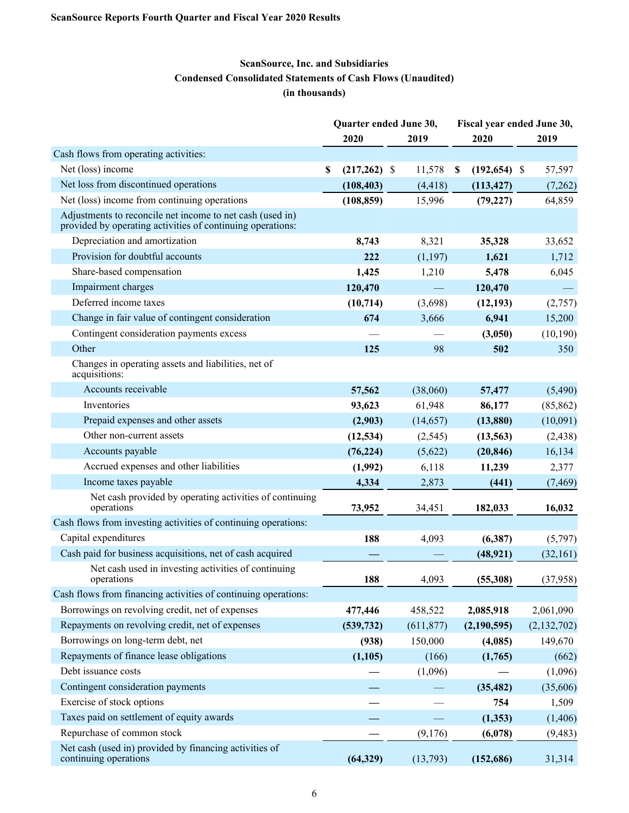## **ScanSource, Inc. and Subsidiaries Condensed Consolidated Statements of Cash Flows (Unaudited) (in thousands)**

|                                                                                                                         | Quarter ended June 30,<br>Fiscal year ended June 30, |                |  |            |                           |                 |  |             |
|-------------------------------------------------------------------------------------------------------------------------|------------------------------------------------------|----------------|--|------------|---------------------------|-----------------|--|-------------|
|                                                                                                                         |                                                      | 2020           |  | 2019       |                           | 2020            |  | 2019        |
| Cash flows from operating activities:                                                                                   |                                                      |                |  |            |                           |                 |  |             |
| Net (loss) income                                                                                                       | \$                                                   | $(217,262)$ \$ |  | 11,578     | $\boldsymbol{\mathsf{s}}$ | $(192, 654)$ \$ |  | 57,597      |
| Net loss from discontinued operations                                                                                   |                                                      | (108, 403)     |  | (4, 418)   |                           | (113, 427)      |  | (7,262)     |
| Net (loss) income from continuing operations                                                                            |                                                      | (108, 859)     |  | 15,996     |                           | (79, 227)       |  | 64,859      |
| Adjustments to reconcile net income to net cash (used in)<br>provided by operating activities of continuing operations: |                                                      |                |  |            |                           |                 |  |             |
| Depreciation and amortization                                                                                           |                                                      | 8,743          |  | 8,321      |                           | 35,328          |  | 33,652      |
| Provision for doubtful accounts                                                                                         |                                                      | 222            |  | (1,197)    |                           | 1,621           |  | 1,712       |
| Share-based compensation                                                                                                |                                                      | 1,425          |  | 1,210      |                           | 5,478           |  | 6,045       |
| Impairment charges                                                                                                      |                                                      | 120,470        |  |            |                           | 120,470         |  |             |
| Deferred income taxes                                                                                                   |                                                      | (10, 714)      |  | (3,698)    |                           | (12, 193)       |  | (2,757)     |
| Change in fair value of contingent consideration                                                                        |                                                      | 674            |  | 3,666      |                           | 6,941           |  | 15,200      |
| Contingent consideration payments excess                                                                                |                                                      |                |  |            |                           | (3,050)         |  | (10, 190)   |
| Other                                                                                                                   |                                                      | 125            |  | 98         |                           | 502             |  | 350         |
| Changes in operating assets and liabilities, net of<br>acquisitions:                                                    |                                                      |                |  |            |                           |                 |  |             |
| Accounts receivable                                                                                                     |                                                      | 57,562         |  | (38,060)   |                           | 57,477          |  | (5,490)     |
| Inventories                                                                                                             |                                                      | 93,623         |  | 61,948     |                           | 86,177          |  | (85, 862)   |
| Prepaid expenses and other assets                                                                                       |                                                      | (2,903)        |  | (14, 657)  |                           | (13,880)        |  | (10,091)    |
| Other non-current assets                                                                                                |                                                      | (12, 534)      |  | (2,545)    |                           | (13, 563)       |  | (2, 438)    |
| Accounts payable                                                                                                        |                                                      | (76, 224)      |  | (5,622)    |                           | (20, 846)       |  | 16,134      |
| Accrued expenses and other liabilities                                                                                  |                                                      | (1,992)        |  | 6,118      |                           | 11,239          |  | 2,377       |
| Income taxes payable                                                                                                    |                                                      | 4,334          |  | 2,873      |                           | (441)           |  | (7, 469)    |
| Net cash provided by operating activities of continuing<br>operations                                                   |                                                      | 73,952         |  | 34,451     |                           | 182,033         |  | 16,032      |
| Cash flows from investing activities of continuing operations:                                                          |                                                      |                |  |            |                           |                 |  |             |
| Capital expenditures                                                                                                    |                                                      | 188            |  | 4,093      |                           | (6,387)         |  | (5,797)     |
| Cash paid for business acquisitions, net of cash acquired                                                               |                                                      |                |  |            |                           | (48, 921)       |  | (32, 161)   |
| Net cash used in investing activities of continuing<br>operations                                                       |                                                      | 188            |  | 4,093      |                           | (55,308)        |  | (37, 958)   |
| Cash flows from financing activities of continuing operations:                                                          |                                                      |                |  |            |                           |                 |  |             |
| Borrowings on revolving credit, net of expenses                                                                         |                                                      | 477,446        |  | 458,522    |                           | 2,085,918       |  | 2,061,090   |
| Repayments on revolving credit, net of expenses                                                                         |                                                      | (539, 732)     |  | (611, 877) |                           | (2,190,595)     |  | (2,132,702) |
| Borrowings on long-term debt, net                                                                                       |                                                      | (938)          |  | 150,000    |                           | (4,085)         |  | 149,670     |
| Repayments of finance lease obligations                                                                                 |                                                      | (1,105)        |  | (166)      |                           | (1,765)         |  | (662)       |
| Debt issuance costs                                                                                                     |                                                      |                |  | (1,096)    |                           |                 |  | (1,096)     |
| Contingent consideration payments                                                                                       |                                                      |                |  |            |                           | (35, 482)       |  | (35,606)    |
| Exercise of stock options                                                                                               |                                                      |                |  |            |                           | 754             |  | 1,509       |
| Taxes paid on settlement of equity awards                                                                               |                                                      |                |  |            |                           | (1, 353)        |  | (1,406)     |
| Repurchase of common stock                                                                                              |                                                      |                |  | (9,176)    |                           | (6,078)         |  | (9, 483)    |
| Net cash (used in) provided by financing activities of<br>continuing operations                                         |                                                      | (64, 329)      |  | (13,793)   |                           | (152, 686)      |  | 31,314      |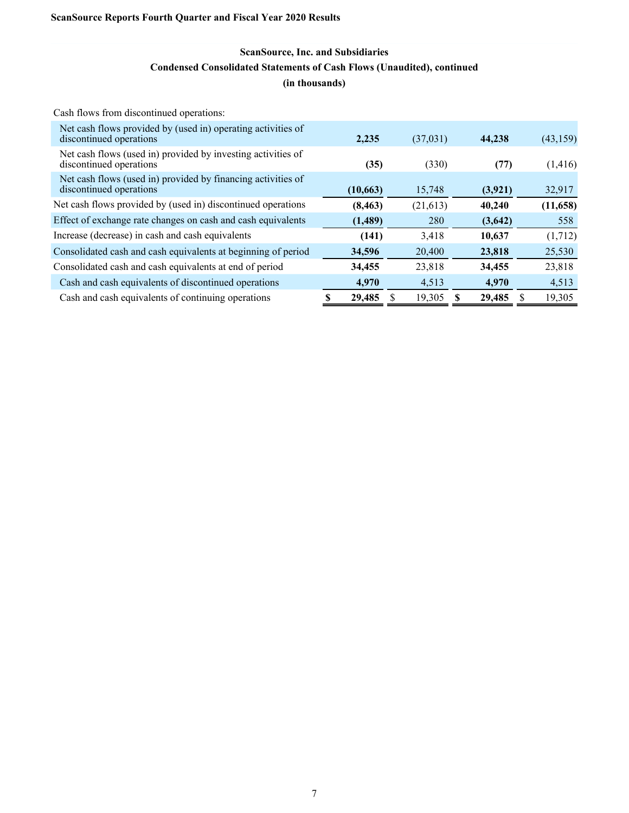## **ScanSource, Inc. and Subsidiaries Condensed Consolidated Statements of Cash Flows (Unaudited), continued (in thousands)**

Cash flows from discontinued operations:

| 2,235     | (37,031)  | 44,238  | (43, 159) |
|-----------|-----------|---------|-----------|
| (35)      | (330)     | (77)    | (1,416)   |
| (10, 663) | 15,748    | (3,921) | 32,917    |
| (8, 463)  | (21, 613) | 40,240  | (11, 658) |
| (1,489)   | 280       | (3,642) | 558       |
| (141)     | 3,418     | 10.637  | (1,712)   |
| 34,596    | 20,400    | 23,818  | 25,530    |
| 34,455    | 23,818    | 34,455  | 23,818    |
| 4.970     | 4,513     | 4.970   | 4,513     |
| 29,485    | 19,305    | 29,485  | 19,305    |
|           |           |         |           |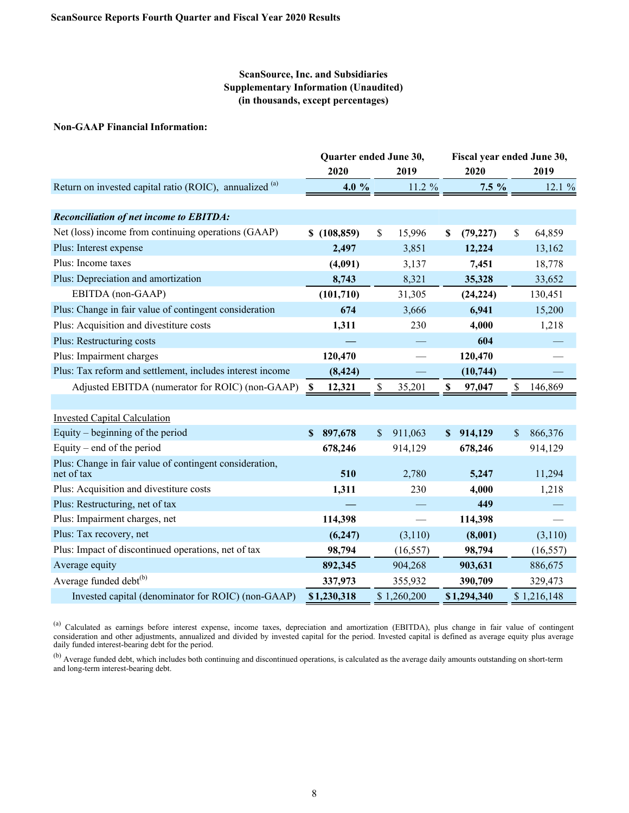## **ScanSource, Inc. and Subsidiaries Supplementary Information (Unaudited) (in thousands, except percentages)**

### **Non-GAAP Financial Information:**

|                                                           | Quarter ended June 30, |    |             | Fiscal year ended June 30, |             |    |             |
|-----------------------------------------------------------|------------------------|----|-------------|----------------------------|-------------|----|-------------|
|                                                           | 2020                   |    | 2019        |                            | 2020        |    | 2019        |
| Return on invested capital ratio (ROIC), annualized (a)   | 4.0 %                  |    | 11.2 %      |                            | $7.5\%$     |    | 12.1 %      |
|                                                           |                        |    |             |                            |             |    |             |
| <b>Reconciliation of net income to EBITDA:</b>            |                        |    |             |                            |             |    |             |
| Net (loss) income from continuing operations (GAAP)       | \$(108, 859)           | \$ | 15,996      | S                          | (79, 227)   | \$ | 64,859      |
| Plus: Interest expense                                    | 2,497                  |    | 3,851       |                            | 12,224      |    | 13,162      |
| Plus: Income taxes                                        | (4,091)                |    | 3,137       |                            | 7,451       |    | 18,778      |
| Plus: Depreciation and amortization                       | 8,743                  |    | 8,321       |                            | 35,328      |    | 33,652      |
| EBITDA (non-GAAP)                                         | (101, 710)             |    | 31,305      |                            | (24, 224)   |    | 130,451     |
| Plus: Change in fair value of contingent consideration    | 674                    |    | 3,666       |                            | 6,941       |    | 15,200      |
| Plus: Acquisition and divestiture costs                   | 1,311                  |    | 230         |                            | 4,000       |    | 1,218       |
| Plus: Restructuring costs                                 |                        |    |             |                            | 604         |    |             |
| Plus: Impairment charges                                  | 120,470                |    |             |                            | 120,470     |    |             |
| Plus: Tax reform and settlement, includes interest income | (8, 424)               |    |             |                            | (10, 744)   |    |             |
| Adjusted EBITDA (numerator for ROIC) (non-GAAP)           | 12,321<br>-S           | \$ | 35,201      | S                          | 97,047      | \$ | 146,869     |
|                                                           |                        |    |             |                            |             |    |             |
| <b>Invested Capital Calculation</b>                       |                        |    |             |                            |             |    |             |
| Equity – beginning of the period                          | 897,678<br>S           | \$ | 911,063     | S                          | 914,129     | \$ | 866,376     |
| Equity – end of the period                                | 678,246                |    | 914,129     |                            | 678,246     |    | 914,129     |
| Plus: Change in fair value of contingent consideration,   |                        |    |             |                            |             |    |             |
| net of tax                                                | 510                    |    | 2,780       |                            | 5,247       |    | 11,294      |
| Plus: Acquisition and divestiture costs                   | 1,311                  |    | 230         |                            | 4,000       |    | 1,218       |
| Plus: Restructuring, net of tax                           |                        |    |             |                            | 449         |    |             |
| Plus: Impairment charges, net                             | 114,398                |    |             |                            | 114,398     |    |             |
| Plus: Tax recovery, net                                   | (6,247)                |    | (3,110)     |                            | (8,001)     |    | (3,110)     |
| Plus: Impact of discontinued operations, net of tax       | 98,794                 |    | (16, 557)   |                            | 98,794      |    | (16, 557)   |
| Average equity                                            | 892,345                |    | 904,268     |                            | 903,631     |    | 886,675     |
| Average funded debt <sup>(b)</sup>                        | 337,973                |    | 355,932     |                            | 390,709     |    | 329,473     |
| Invested capital (denominator for ROIC) (non-GAAP)        | \$1,230,318            |    | \$1,260,200 |                            | \$1,294,340 |    | \$1,216,148 |

<sup>(a)</sup> Calculated as earnings before interest expense, income taxes, depreciation and amortization (EBITDA), plus change in fair value of contingent consideration and other adjustments, annualized and divided by invested capital for the period. Invested capital is defined as average equity plus average daily funded interest-bearing debt for the period.

<sup>(b)</sup> Average funded debt, which includes both continuing and discontinued operations, is calculated as the average daily amounts outstanding on short-term and long-term interest-bearing debt.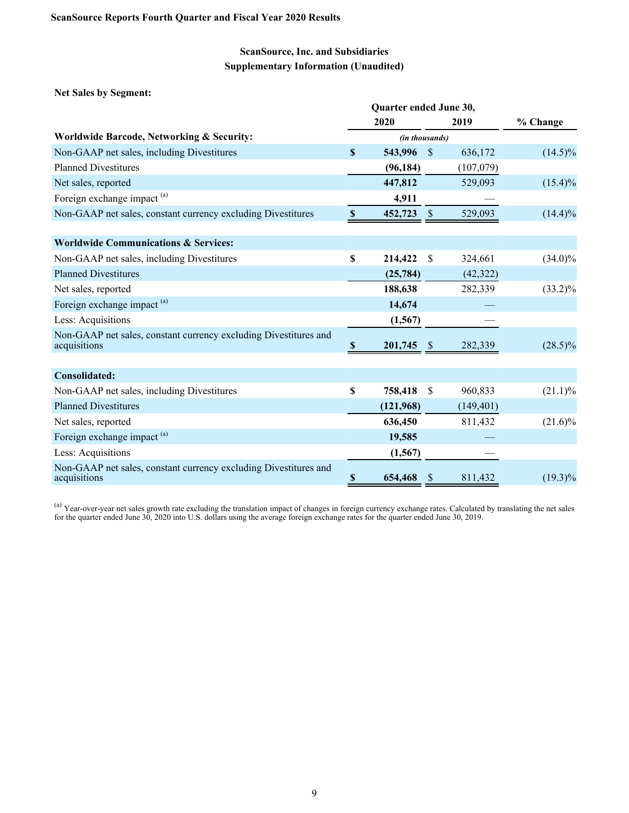**Net Sales by Segment:**

|                                                                                  |                           | 2020           |               | 2019       | % Change   |
|----------------------------------------------------------------------------------|---------------------------|----------------|---------------|------------|------------|
| Worldwide Barcode, Networking & Security:                                        |                           | (in thousands) |               |            |            |
| Non-GAAP net sales, including Divestitures                                       | \$                        | 543,996        | $\mathcal{S}$ | 636,172    | $(14.5)\%$ |
| <b>Planned Divestitures</b>                                                      |                           | (96, 184)      |               | (107,079)  |            |
| Net sales, reported                                                              |                           | 447,812        |               | 529,093    | $(15.4)\%$ |
| Foreign exchange impact <sup>(a)</sup>                                           |                           | 4,911          |               |            |            |
| Non-GAAP net sales, constant currency excluding Divestitures                     | $\boldsymbol{\mathsf{S}}$ | 452,723        | $\mathcal{S}$ | 529,093    | $(14.4)\%$ |
| <b>Worldwide Communications &amp; Services:</b>                                  |                           |                |               |            |            |
| Non-GAAP net sales, including Divestitures                                       | \$                        | 214,422        | \$            | 324,661    | $(34.0)\%$ |
| <b>Planned Divestitures</b>                                                      |                           | (25, 784)      |               | (42, 322)  |            |
| Net sales, reported                                                              |                           | 188,638        |               | 282,339    | $(33.2)\%$ |
| Foreign exchange impact <sup>(a)</sup>                                           |                           | 14,674         |               |            |            |
| Less: Acquisitions                                                               |                           | (1, 567)       |               |            |            |
| Non-GAAP net sales, constant currency excluding Divestitures and<br>acquisitions | -S                        | 201,745        | -S            | 282,339    | $(28.5)\%$ |
| Consolidated:                                                                    |                           |                |               |            |            |
| Non-GAAP net sales, including Divestitures                                       | S                         | 758,418        | S             | 960,833    | $(21.1)\%$ |
| <b>Planned Divestitures</b>                                                      |                           | (121,968)      |               | (149, 401) |            |
| Net sales, reported                                                              |                           | 636,450        |               | 811,432    | $(21.6)\%$ |
| Foreign exchange impact <sup>(a)</sup>                                           |                           | 19,585         |               |            |            |
| Less: Acquisitions                                                               |                           | (1, 567)       |               |            |            |
| Non-GAAP net sales, constant currency excluding Divestitures and<br>acquisitions | $\boldsymbol{\mathsf{s}}$ | 654,468        |               | 811,432    | $(19.3)\%$ |

<sup>(a)</sup> Year-over-year net sales growth rate excluding the translation impact of changes in foreign currency exchange rates. Calculated by translating the net sales for the quarter ended June 30, 2020 into U.S. dollars using the average foreign exchange rates for the quarter ended June 30, 2019.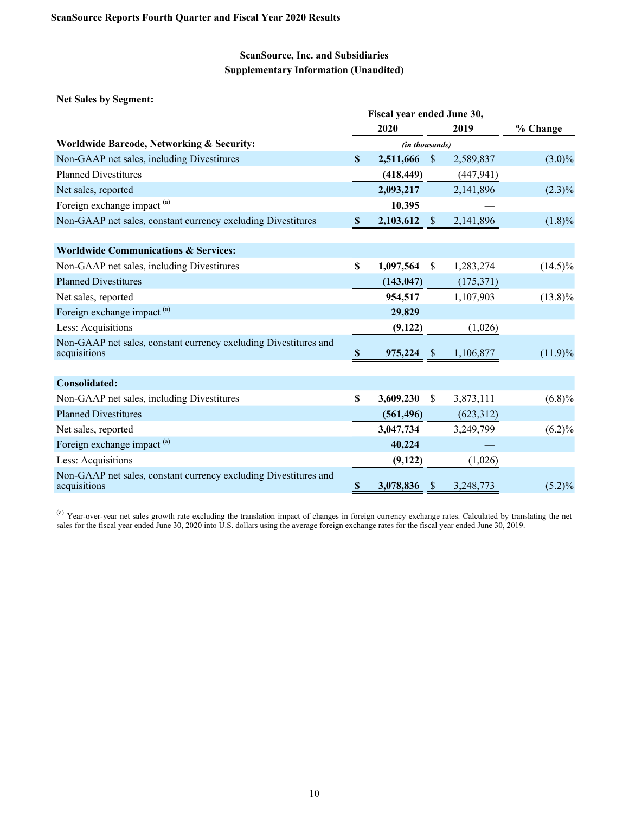**Net Sales by Segment:**

|                                                                                  | Fiscal year ended June 30, |                |               |            |            |  |  |  |
|----------------------------------------------------------------------------------|----------------------------|----------------|---------------|------------|------------|--|--|--|
|                                                                                  |                            | 2020           |               | 2019       | % Change   |  |  |  |
| <b>Worldwide Barcode, Networking &amp; Security:</b>                             |                            | (in thousands) |               |            |            |  |  |  |
| Non-GAAP net sales, including Divestitures                                       | \$                         | 2,511,666 \$   |               | 2,589,837  | $(3.0)\%$  |  |  |  |
| <b>Planned Divestitures</b>                                                      |                            | (418, 449)     |               | (447, 941) |            |  |  |  |
| Net sales, reported                                                              |                            | 2,093,217      |               | 2,141,896  | $(2.3)\%$  |  |  |  |
| Foreign exchange impact <sup>(a)</sup>                                           |                            | 10,395         |               |            |            |  |  |  |
| Non-GAAP net sales, constant currency excluding Divestitures                     | <sup>8</sup>               | $2,103,612$ \$ |               | 2,141,896  | $(1.8)\%$  |  |  |  |
|                                                                                  |                            |                |               |            |            |  |  |  |
| <b>Worldwide Communications &amp; Services:</b>                                  |                            |                |               |            |            |  |  |  |
| Non-GAAP net sales, including Divestitures                                       | \$                         | 1,097,564      | <sup>S</sup>  | 1,283,274  | $(14.5)\%$ |  |  |  |
| <b>Planned Divestitures</b>                                                      |                            | (143, 047)     |               | (175, 371) |            |  |  |  |
| Net sales, reported                                                              |                            | 954,517        |               | 1,107,903  | $(13.8)\%$ |  |  |  |
| Foreign exchange impact <sup>(a)</sup>                                           |                            | 29,829         |               |            |            |  |  |  |
| Less: Acquisitions                                                               |                            | (9,122)        |               | (1,026)    |            |  |  |  |
| Non-GAAP net sales, constant currency excluding Divestitures and<br>acquisitions | S                          | 975,224        | <sup>\$</sup> | 1,106,877  | $(11.9)\%$ |  |  |  |
|                                                                                  |                            |                |               |            |            |  |  |  |
| <b>Consolidated:</b>                                                             |                            |                |               |            |            |  |  |  |
| Non-GAAP net sales, including Divestitures                                       | \$                         | 3,609,230      | \$            | 3,873,111  | (6.8)%     |  |  |  |
| <b>Planned Divestitures</b>                                                      |                            | (561, 496)     |               | (623,312)  |            |  |  |  |
| Net sales, reported                                                              |                            | 3,047,734      |               | 3,249,799  | $(6.2)\%$  |  |  |  |
| Foreign exchange impact <sup>(a)</sup>                                           |                            | 40,224         |               |            |            |  |  |  |
| Less: Acquisitions                                                               |                            | (9,122)        |               | (1,026)    |            |  |  |  |
| Non-GAAP net sales, constant currency excluding Divestitures and<br>acquisitions | \$                         | 3,078,836      | <sup>3</sup>  | 3,248,773  | $(5.2)\%$  |  |  |  |

<sup>(a)</sup> Year-over-year net sales growth rate excluding the translation impact of changes in foreign currency exchange rates. Calculated by translating the net sales for the fiscal year ended June 30, 2020 into U.S. dollars using the average foreign exchange rates for the fiscal year ended June 30, 2019.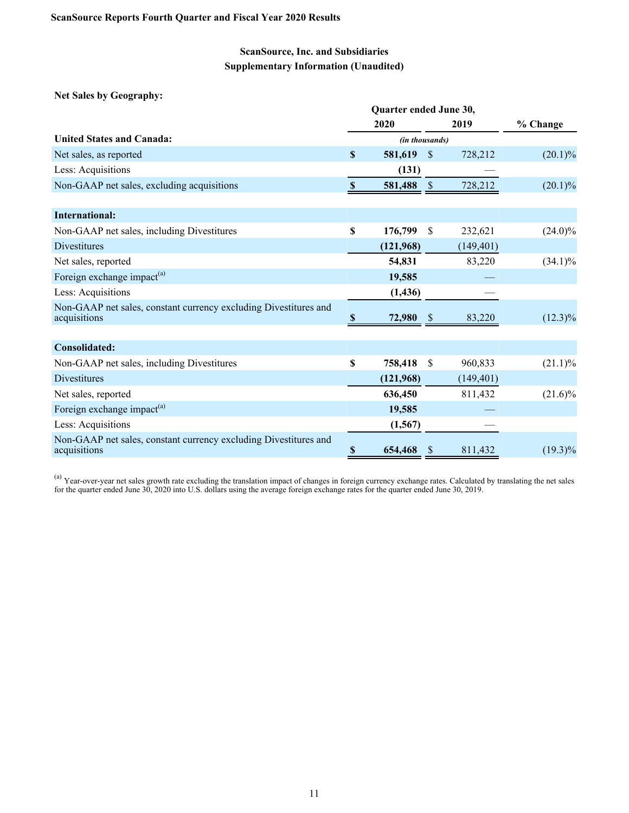**Net Sales by Geography:**

|                                                                                  |               | 2020           |               | 2019       | % Change   |
|----------------------------------------------------------------------------------|---------------|----------------|---------------|------------|------------|
| <b>United States and Canada:</b>                                                 |               | (in thousands) |               |            |            |
| Net sales, as reported                                                           | S             | 581,619        | <sup>\$</sup> | 728,212    | $(20.1)\%$ |
| Less: Acquisitions                                                               |               | (131)          |               |            |            |
| Non-GAAP net sales, excluding acquisitions                                       | $\mathbf{\$}$ | 581,488        | $\mathcal{S}$ | 728,212    | $(20.1)\%$ |
| <b>International:</b>                                                            |               |                |               |            |            |
|                                                                                  |               |                |               |            |            |
| Non-GAAP net sales, including Divestitures                                       | \$            | 176,799        | <sup>\$</sup> | 232,621    | $(24.0)\%$ |
| Divestitures                                                                     |               | (121,968)      |               | (149, 401) |            |
| Net sales, reported                                                              |               | 54,831         |               | 83,220     | $(34.1)\%$ |
| Foreign exchange impact <sup>(a)</sup>                                           |               | 19,585         |               |            |            |
| Less: Acquisitions                                                               |               | (1, 436)       |               |            |            |
| Non-GAAP net sales, constant currency excluding Divestitures and<br>acquisitions | Y.            | 72,980         | <sup>8</sup>  | 83,220     | $(12.3)\%$ |
|                                                                                  |               |                |               |            |            |
| Consolidated:                                                                    |               |                |               |            |            |
| Non-GAAP net sales, including Divestitures                                       | $\mathbf S$   | 758,418        | -\$           | 960,833    | $(21.1)\%$ |
| <b>Divestitures</b>                                                              |               | (121,968)      |               | (149, 401) |            |
| Net sales, reported                                                              |               | 636,450        |               | 811,432    | $(21.6)\%$ |
| Foreign exchange impact <sup>(a)</sup>                                           |               | 19,585         |               |            |            |
| Less: Acquisitions                                                               |               | (1, 567)       |               |            |            |
| Non-GAAP net sales, constant currency excluding Divestitures and<br>acquisitions | \$            | 654,468        | -S            | 811,432    | $(19.3)\%$ |

<sup>(a)</sup> Year-over-year net sales growth rate excluding the translation impact of changes in foreign currency exchange rates. Calculated by translating the net sales for the quarter ended June 30, 2020 into U.S. dollars using the average foreign exchange rates for the quarter ended June 30, 2019.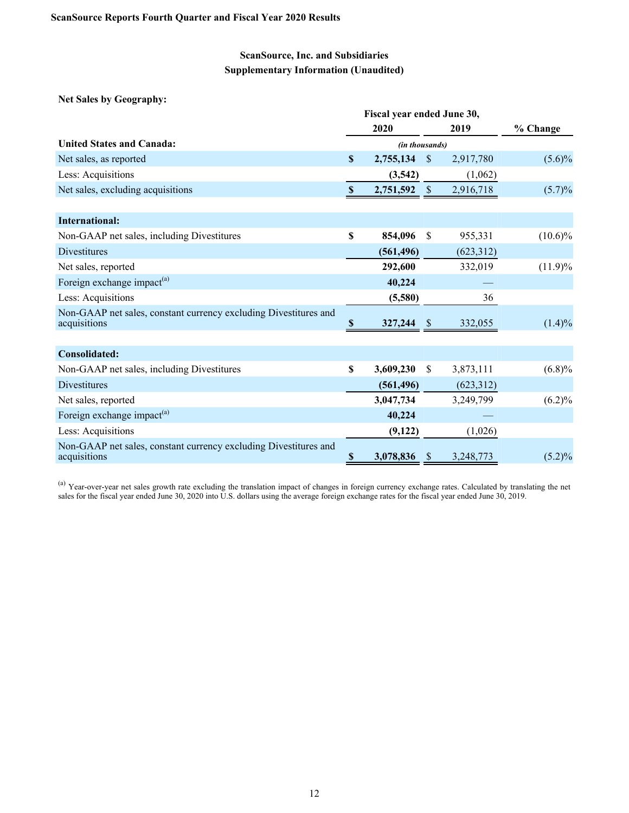**Net Sales by Geography:**

|                                                                                  | Fiscal year ended June 30, |                |               |            |            |  |  |  |  |
|----------------------------------------------------------------------------------|----------------------------|----------------|---------------|------------|------------|--|--|--|--|
|                                                                                  |                            | 2020           |               | 2019       | % Change   |  |  |  |  |
| <b>United States and Canada:</b>                                                 |                            | (in thousands) |               |            |            |  |  |  |  |
| Net sales, as reported                                                           | $\mathbf{s}$               | 2,755,134      | $\mathcal{S}$ | 2,917,780  | $(5.6)\%$  |  |  |  |  |
| Less: Acquisitions                                                               |                            | (3,542)        |               | (1,062)    |            |  |  |  |  |
| Net sales, excluding acquisitions                                                | $\mathbf{\$}$              | 2,751,592      | $\sqrt{\$}$   | 2,916,718  | $(5.7)\%$  |  |  |  |  |
|                                                                                  |                            |                |               |            |            |  |  |  |  |
| <b>International:</b>                                                            |                            |                |               |            |            |  |  |  |  |
| Non-GAAP net sales, including Divestitures                                       | $\mathbf S$                | 854,096        | <sup>\$</sup> | 955,331    | $(10.6)\%$ |  |  |  |  |
| <b>Divestitures</b>                                                              |                            | (561, 496)     |               | (623,312)  |            |  |  |  |  |
| Net sales, reported                                                              |                            | 292,600        |               | 332,019    | $(11.9)\%$ |  |  |  |  |
| Foreign exchange impact <sup>(a)</sup>                                           |                            | 40,224         |               |            |            |  |  |  |  |
| Less: Acquisitions                                                               |                            | (5,580)        |               | 36         |            |  |  |  |  |
| Non-GAAP net sales, constant currency excluding Divestitures and<br>acquisitions | S                          | 327,244        | S             | 332,055    | $(1.4)\%$  |  |  |  |  |
|                                                                                  |                            |                |               |            |            |  |  |  |  |
| Consolidated:                                                                    |                            |                |               |            |            |  |  |  |  |
| Non-GAAP net sales, including Divestitures                                       | $\boldsymbol{\mathsf{S}}$  | 3,609,230      | <sup>S</sup>  | 3,873,111  | (6.8)%     |  |  |  |  |
| <b>Divestitures</b>                                                              |                            | (561, 496)     |               | (623, 312) |            |  |  |  |  |
| Net sales, reported                                                              |                            | 3,047,734      |               | 3,249,799  | $(6.2)\%$  |  |  |  |  |
| Foreign exchange impact <sup>(a)</sup>                                           |                            | 40,224         |               |            |            |  |  |  |  |
| Less: Acquisitions                                                               |                            | (9,122)        |               | (1,026)    |            |  |  |  |  |
| Non-GAAP net sales, constant currency excluding Divestitures and<br>acquisitions | $\boldsymbol{\mathsf{S}}$  | 3,078,836      | \$.           | 3,248,773  | $(5.2)\%$  |  |  |  |  |

<sup>(a)</sup> Year-over-year net sales growth rate excluding the translation impact of changes in foreign currency exchange rates. Calculated by translating the net sales for the fiscal year ended June 30, 2020 into U.S. dollars using the average foreign exchange rates for the fiscal year ended June 30, 2019.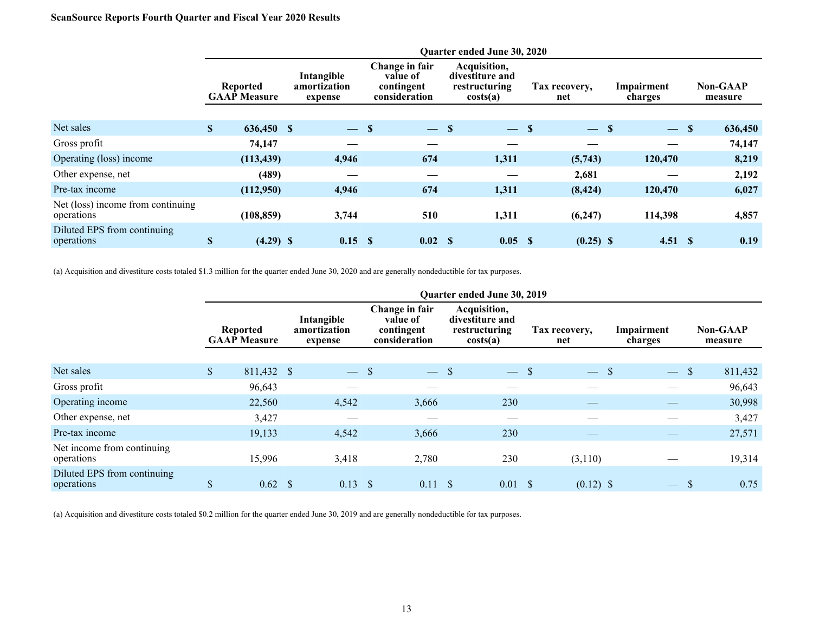## **ScanSource Reports Fourth Quarter and Fiscal Year 2020 Results**

|                                                 |               | Quarter ended June 30, 2020     |  |                                       |      |                                                           |  |                                                              |                      |             |                       |         |  |                            |
|-------------------------------------------------|---------------|---------------------------------|--|---------------------------------------|------|-----------------------------------------------------------|--|--------------------------------------------------------------|----------------------|-------------|-----------------------|---------|--|----------------------------|
|                                                 |               | Reported<br><b>GAAP Measure</b> |  | Intangible<br>amortization<br>expense |      | Change in fair<br>value of<br>contingent<br>consideration |  | Acquisition,<br>divestiture and<br>restructuring<br>costs(a) | Tax recovery,<br>net |             | Impairment<br>charges |         |  | <b>Non-GAAP</b><br>measure |
|                                                 |               |                                 |  |                                       |      |                                                           |  |                                                              |                      |             |                       |         |  |                            |
| Net sales                                       | $\mathbf{s}$  | 636,450 \$                      |  | $\overline{\phantom{m}}$              | - \$ | $-$ \$                                                    |  | $-$ \$                                                       |                      | $-$ S       |                       | $-$ \$  |  | 636,450                    |
| Gross profit                                    |               | 74,147                          |  |                                       |      |                                                           |  |                                                              |                      |             |                       |         |  | 74,147                     |
| Operating (loss) income                         |               | (113, 439)                      |  | 4,946                                 |      | 674                                                       |  | 1,311                                                        |                      | (5,743)     |                       | 120,470 |  | 8,219                      |
| Other expense, net                              |               | (489)                           |  |                                       |      |                                                           |  |                                                              |                      | 2,681       |                       |         |  | 2,192                      |
| Pre-tax income                                  |               | (112,950)                       |  | 4,946                                 |      | 674                                                       |  | 1,311                                                        |                      | (8, 424)    |                       | 120,470 |  | 6,027                      |
| Net (loss) income from continuing<br>operations |               | (108, 859)                      |  | 3,744                                 |      | 510                                                       |  | 1,311                                                        |                      | (6,247)     |                       | 114,398 |  | 4,857                      |
| Diluted EPS from continuing<br>operations       | $\mathbf{\$}$ | $(4.29)$ \$                     |  | $0.15$ \$                             |      | 0.02 S                                                    |  | 0.05                                                         | - \$                 | $(0.25)$ \$ |                       | 4.51 S  |  | 0.19                       |

(a) Acquisition and divestiture costs totaled \$1.3 million for the quarter ended June 30, 2020 and are generally nondeductible for tax purposes.

|                                           | Quarter ended June 30, 2019 |                                        |              |                                       |      |                                                           |  |                                                              |               |                      |  |                          |     |                            |
|-------------------------------------------|-----------------------------|----------------------------------------|--------------|---------------------------------------|------|-----------------------------------------------------------|--|--------------------------------------------------------------|---------------|----------------------|--|--------------------------|-----|----------------------------|
|                                           |                             | <b>Reported</b><br><b>GAAP Measure</b> |              | Intangible<br>amortization<br>expense |      | Change in fair<br>value of<br>contingent<br>consideration |  | Acquisition,<br>divestiture and<br>restructuring<br>costs(a) |               | Tax recovery,<br>net |  | Impairment<br>charges    |     | <b>Non-GAAP</b><br>measure |
|                                           |                             |                                        |              |                                       |      |                                                           |  |                                                              |               |                      |  |                          |     |                            |
| Net sales                                 | $\mathbb{S}$                | 811,432 \$                             |              | $\overline{\phantom{m}}$              | - \$ | $-$ \$                                                    |  | $\overline{\phantom{m}}$                                     | <sup>\$</sup> | $-$ \$               |  | $-$ \$                   |     | 811,432                    |
| Gross profit                              |                             | 96,643                                 |              |                                       |      |                                                           |  |                                                              |               |                      |  |                          |     | 96,643                     |
| Operating income                          |                             | 22,560                                 |              | 4,542                                 |      | 3,666                                                     |  | 230                                                          |               |                      |  |                          |     | 30,998                     |
| Other expense, net                        |                             | 3,427                                  |              |                                       |      |                                                           |  |                                                              |               |                      |  |                          |     | 3,427                      |
| Pre-tax income                            |                             | 19,133                                 |              | 4,542                                 |      | 3,666                                                     |  | 230                                                          |               |                      |  |                          |     | 27,571                     |
| Net income from continuing<br>operations  |                             | 15,996                                 |              | 3,418                                 |      | 2,780                                                     |  | 230                                                          |               | (3,110)              |  |                          |     | 19,314                     |
| Diluted EPS from continuing<br>operations | ₼<br>D                      | 0.62                                   | <sup>S</sup> | 0.13                                  | - \$ | $0.11 \quad$ \$                                           |  | $0.01 \  \  \,$ \$                                           |               | $(0.12)$ \$          |  | $\overline{\phantom{m}}$ | \$. | 0.75                       |

(a) Acquisition and divestiture costs totaled \$0.2 million for the quarter ended June 30, 2019 and are generally nondeductible for tax purposes.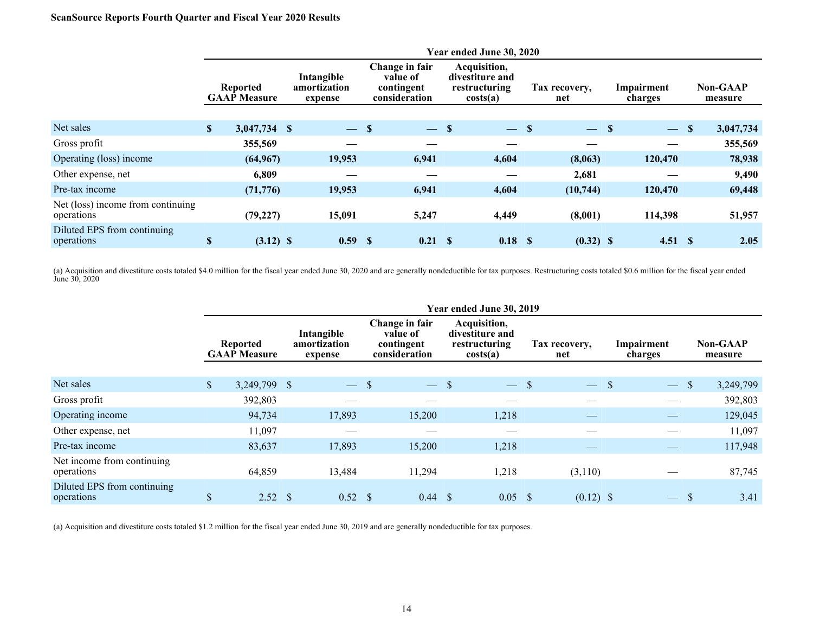## **ScanSource Reports Fourth Quarter and Fiscal Year 2020 Results**

|                                                 |              |                                        |  |                                       |      |                                                           |      | Year ended June 30, 2020                                     |  |                      |                       |                          |               |                            |  |
|-------------------------------------------------|--------------|----------------------------------------|--|---------------------------------------|------|-----------------------------------------------------------|------|--------------------------------------------------------------|--|----------------------|-----------------------|--------------------------|---------------|----------------------------|--|
|                                                 |              | <b>Reported</b><br><b>GAAP Measure</b> |  | Intangible<br>amortization<br>expense |      | Change in fair<br>value of<br>contingent<br>consideration |      | Acquisition,<br>divestiture and<br>restructuring<br>costs(a) |  | Tax recovery,<br>net | Impairment<br>charges |                          |               | <b>Non-GAAP</b><br>measure |  |
|                                                 |              |                                        |  |                                       |      |                                                           |      |                                                              |  |                      |                       |                          |               |                            |  |
| Net sales                                       | $\mathbf{s}$ | 3,047,734 \$                           |  | $\overline{\phantom{m}}$              | - \$ | $-$ \$                                                    |      | $-$ \$                                                       |  | $-$ S                |                       | $\overline{\phantom{m}}$ | $\mathbf{\$}$ | 3,047,734                  |  |
| Gross profit                                    |              | 355,569                                |  |                                       |      |                                                           |      |                                                              |  |                      |                       | —                        |               | 355,569                    |  |
| Operating (loss) income                         |              | (64, 967)                              |  | 19,953                                |      | 6,941                                                     |      | 4,604                                                        |  | (8,063)              |                       | 120,470                  |               | 78,938                     |  |
| Other expense, net                              |              | 6,809                                  |  |                                       |      |                                                           |      |                                                              |  | 2,681                |                       |                          |               | 9,490                      |  |
| Pre-tax income                                  |              | (71, 776)                              |  | 19,953                                |      | 6,941                                                     |      | 4,604                                                        |  | (10, 744)            |                       | 120,470                  |               | 69,448                     |  |
| Net (loss) income from continuing<br>operations |              | (79, 227)                              |  | 15,091                                |      | 5,247                                                     |      | 4,449                                                        |  | (8,001)              |                       | 114,398                  |               | 51,957                     |  |
| Diluted EPS from continuing<br>operations       | \$           | $(3.12)$ \$                            |  | 0.59                                  | -S   | 0.21                                                      | - \$ | 0.18 S                                                       |  | $(0.32)$ \$          |                       | 4.51 S                   |               | 2.05                       |  |

(a) Acquisition and divestiture costs totaled \$4.0 million for the fiscal year ended June 30, 2020 and are generally nondeductible for tax purposes. Restructuring costs totaled \$0.6 million for the fiscal year ended June 30, 2020

|                                           | Year ended June 30, 2019               |  |                                       |              |                                                           |  |                                                              |  |                      |  |                          |               |                            |
|-------------------------------------------|----------------------------------------|--|---------------------------------------|--------------|-----------------------------------------------------------|--|--------------------------------------------------------------|--|----------------------|--|--------------------------|---------------|----------------------------|
|                                           | <b>Reported</b><br><b>GAAP Measure</b> |  | Intangible<br>amortization<br>expense |              | Change in fair<br>value of<br>contingent<br>consideration |  | Acquisition,<br>divestiture and<br>restructuring<br>costs(a) |  | Tax recovery,<br>net |  | Impairment<br>charges    |               | <b>Non-GAAP</b><br>measure |
|                                           |                                        |  |                                       |              |                                                           |  |                                                              |  |                      |  |                          |               |                            |
| Net sales                                 | \$<br>3,249,799 \$                     |  | $\frac{1}{2}$                         | <sup>S</sup> | $-$ \$                                                    |  | $-$ \$                                                       |  | $-$ \$               |  | <u>a s</u>               | $\mathcal{S}$ | 3,249,799                  |
| Gross profit                              | 392,803                                |  |                                       |              |                                                           |  |                                                              |  |                      |  |                          |               | 392,803                    |
| Operating income                          | 94,734                                 |  | 17,893                                |              | 15,200                                                    |  | 1,218                                                        |  |                      |  |                          |               | 129,045                    |
| Other expense, net                        | 11,097                                 |  |                                       |              |                                                           |  |                                                              |  |                      |  |                          |               | 11,097                     |
| Pre-tax income                            | 83,637                                 |  | 17,893                                |              | 15,200                                                    |  | 1,218                                                        |  |                      |  |                          |               | 117,948                    |
| Net income from continuing<br>operations  | 64,859                                 |  | 13,484                                |              | 11,294                                                    |  | 1,218                                                        |  | (3,110)              |  |                          |               | 87,745                     |
| Diluted EPS from continuing<br>operations | \$<br>$2.52 \quad$                     |  | 0.52                                  | -S           | $0.44 \quad$ \$                                           |  | 0.05                                                         |  | $(0.12)$ \$          |  | $\overline{\phantom{m}}$ |               | 3.41                       |

(a) Acquisition and divestiture costs totaled \$1.2 million for the fiscal year ended June 30, 2019 and are generally nondeductible for tax purposes.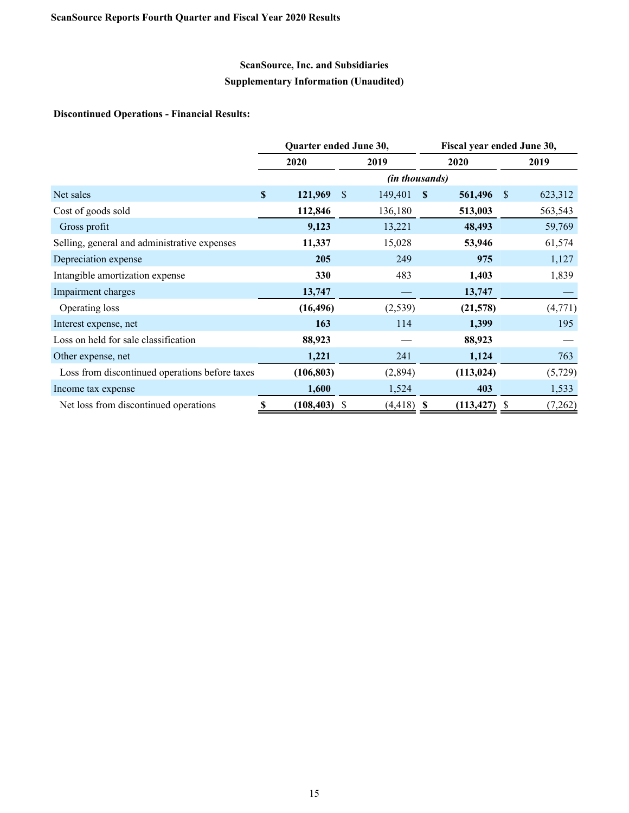## **Discontinued Operations - Financial Results:**

|                                                |               | Quarter ended June 30, |                         |     | Fiscal year ended June 30, |              |         |  |  |
|------------------------------------------------|---------------|------------------------|-------------------------|-----|----------------------------|--------------|---------|--|--|
|                                                |               | 2020                   | 2019                    |     | 2020                       | 2019         |         |  |  |
|                                                |               |                        |                         |     | <i>(in thousands)</i>      |              |         |  |  |
| Net sales                                      | $\mathbf{\$}$ | 121,969                | 149,401<br><sup>S</sup> | S   | 561,496                    | <sup>S</sup> | 623,312 |  |  |
| Cost of goods sold                             |               | 112,846                | 136,180                 |     | 513,003                    |              | 563,543 |  |  |
| Gross profit                                   |               | 9,123                  | 13,221                  |     | 48,493                     |              | 59,769  |  |  |
| Selling, general and administrative expenses   |               | 11,337                 | 15,028                  |     | 53,946                     |              | 61,574  |  |  |
| Depreciation expense                           |               | 205                    | 249                     |     | 975                        |              | 1,127   |  |  |
| Intangible amortization expense                |               | 330                    | 483                     |     | 1,403                      |              | 1,839   |  |  |
| Impairment charges                             |               | 13,747                 |                         |     | 13,747                     |              |         |  |  |
| Operating loss                                 |               | (16, 496)              | (2, 539)                |     | (21,578)                   |              | (4,771) |  |  |
| Interest expense, net                          |               | 163                    |                         | 114 | 1,399                      |              | 195     |  |  |
| Loss on held for sale classification           |               | 88,923                 |                         |     | 88,923                     |              |         |  |  |
| Other expense, net                             |               | 1,221                  | 241                     |     | 1,124                      |              | 763     |  |  |
| Loss from discontinued operations before taxes |               | (106, 803)             | (2,894)                 |     | (113, 024)                 |              | (5,729) |  |  |
| Income tax expense                             |               | 1,600                  | 1,524                   |     | 403                        |              | 1,533   |  |  |
| Net loss from discontinued operations          | \$            | (108, 403)             | (4, 418)<br>S           | S   | (113, 427)                 | S            | (7,262) |  |  |